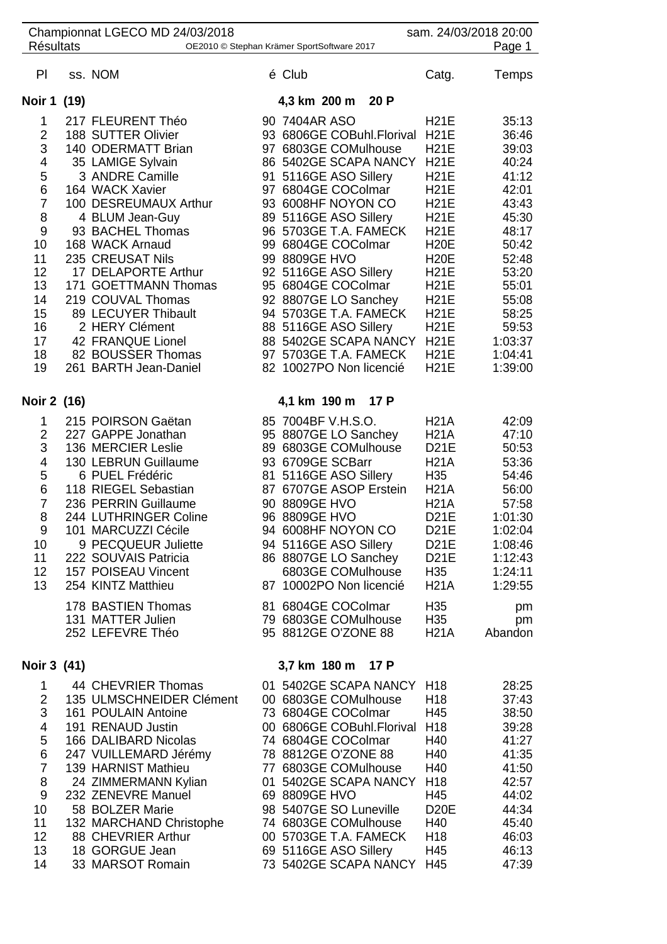| <b>Résultats</b>                                                                                                                | Championnat LGECO MD 24/03/2018<br>OE2010 © Stephan Krämer SportSoftware 2017                                                                                                                                                                                                                                                                                                                                   |                                |                                                                                                                                                                                                                                                                                                                                                                                                                               |                                                                                                                                                                                                                                                                                           | sam. 24/03/2018 20:00<br>Page 1                                                                                                                                               |
|---------------------------------------------------------------------------------------------------------------------------------|-----------------------------------------------------------------------------------------------------------------------------------------------------------------------------------------------------------------------------------------------------------------------------------------------------------------------------------------------------------------------------------------------------------------|--------------------------------|-------------------------------------------------------------------------------------------------------------------------------------------------------------------------------------------------------------------------------------------------------------------------------------------------------------------------------------------------------------------------------------------------------------------------------|-------------------------------------------------------------------------------------------------------------------------------------------------------------------------------------------------------------------------------------------------------------------------------------------|-------------------------------------------------------------------------------------------------------------------------------------------------------------------------------|
| PI                                                                                                                              | ss. NOM                                                                                                                                                                                                                                                                                                                                                                                                         | é Club                         |                                                                                                                                                                                                                                                                                                                                                                                                                               | Catg.                                                                                                                                                                                                                                                                                     | Temps                                                                                                                                                                         |
| Noir 1 (19)                                                                                                                     |                                                                                                                                                                                                                                                                                                                                                                                                                 |                                | 4,3 km 200 m<br>20 P                                                                                                                                                                                                                                                                                                                                                                                                          |                                                                                                                                                                                                                                                                                           |                                                                                                                                                                               |
| 1<br>$\overline{c}$<br>3<br>4<br>5<br>6<br>$\overline{7}$<br>8<br>9<br>10<br>11<br>12<br>13<br>14<br>15<br>16<br>17<br>18<br>19 | 217 FLEURENT Théo<br>188 SUTTER Olivier<br>140 ODERMATT Brian<br>35 LAMIGE Sylvain<br>3 ANDRE Camille<br>164 WACK Xavier<br>100 DESREUMAUX Arthur<br>4 BLUM Jean-Guy<br>93 BACHEL Thomas<br>168 WACK Arnaud<br>235 CREUSAT Nils<br>17 DELAPORTE Arthur<br>171 GOETTMANN Thomas<br>219 COUVAL Thomas<br>89 LECUYER Thibault<br>2 HERY Clément<br>42 FRANQUE Lionel<br>82 BOUSSER Thomas<br>261 BARTH Jean-Daniel | 90 7404AR ASO<br>99 8809GE HVO | 93 6806GE COBuhl.Florival<br>97 6803GE COMulhouse<br>86 5402GE SCAPA NANCY<br>91 5116GE ASO Sillery<br>97 6804GE COColmar<br>93 6008HF NOYON CO<br>89 5116GE ASO Sillery<br>96 5703GE T.A. FAMECK<br>99 6804GE COColmar<br>92 5116GE ASO Sillery<br>95 6804GE COColmar<br>92 8807GE LO Sanchey<br>94 5703GE T.A. FAMECK<br>88 5116GE ASO Sillery<br>88 5402GE SCAPA NANCY<br>97 5703GE T.A. FAMECK<br>82 10027PO Non licencié | <b>H21E</b><br><b>H21E</b><br><b>H21E</b><br><b>H21E</b><br><b>H21E</b><br><b>H21E</b><br><b>H21E</b><br><b>H21E</b><br><b>H21E</b><br><b>H20E</b><br><b>H20E</b><br><b>H21E</b><br><b>H21E</b><br><b>H21E</b><br><b>H21E</b><br><b>H21E</b><br><b>H21E</b><br><b>H21E</b><br><b>H21E</b> | 35:13<br>36:46<br>39:03<br>40:24<br>41:12<br>42:01<br>43:43<br>45:30<br>48:17<br>50:42<br>52:48<br>53:20<br>55:01<br>55:08<br>58:25<br>59:53<br>1:03:37<br>1:04:41<br>1:39:00 |
| Noir 2 (16)                                                                                                                     |                                                                                                                                                                                                                                                                                                                                                                                                                 |                                | 4,1 km 190 m 17 P                                                                                                                                                                                                                                                                                                                                                                                                             |                                                                                                                                                                                                                                                                                           |                                                                                                                                                                               |
| 1<br>$\overline{2}$<br>3<br>4<br>5<br>6<br>$\overline{7}$<br>8<br>9<br>10<br>11<br>12<br>13                                     | 215 POIRSON Gaëtan<br>227 GAPPE Jonathan<br>136 MERCIER Leslie<br>130 LEBRUN Guillaume<br>6 PUEL Frédéric<br>118 RIEGEL Sebastian<br>236 PERRIN Guillaume<br>244 LUTHRINGER Coline<br>101 MARCUZZI Cécile<br>9 PECQUEUR Juliette<br>222 SOUVAIS Patricia<br>157 POISEAU Vincent<br>254 KINTZ Matthieu<br>178 BASTIEN Thomas<br>131 MATTER Julien<br>252 LEFEVRE Théo                                            | 90 8809GE HVO<br>96 8809GE HVO | 85 7004BF V.H.S.O.<br>95 8807GE LO Sanchey<br>89 6803GE COMulhouse<br>93 6709GE SCBarr<br>81 5116GE ASO Sillery<br>87 6707GE ASOP Erstein<br>94 6008HF NOYON CO<br>94 5116GE ASO Sillery<br>86 8807GE LO Sanchey<br>6803GE COMulhouse<br>87 10002PO Non licencié<br>81 6804GE COColmar<br>79 6803GE COMulhouse<br>95 8812GE O'ZONE 88                                                                                         | <b>H21A</b><br><b>H21A</b><br><b>D21E</b><br><b>H21A</b><br>H35<br><b>H21A</b><br><b>H21A</b><br><b>D21E</b><br><b>D21E</b><br>D21E<br><b>D21E</b><br>H <sub>35</sub><br><b>H21A</b><br>H <sub>35</sub><br>H <sub>35</sub><br><b>H21A</b>                                                 | 42:09<br>47:10<br>50:53<br>53:36<br>54:46<br>56:00<br>57:58<br>1:01:30<br>1:02:04<br>1:08:46<br>1:12:43<br>1:24:11<br>1:29:55<br>pm<br>pm<br>Abandon                          |
| Noir 3 (41)                                                                                                                     |                                                                                                                                                                                                                                                                                                                                                                                                                 |                                | 3,7 km 180 m 17 P                                                                                                                                                                                                                                                                                                                                                                                                             |                                                                                                                                                                                                                                                                                           |                                                                                                                                                                               |
| 1<br>$\overline{2}$<br>3<br>4<br>5<br>$\,6$<br>$\overline{7}$<br>8<br>9<br>10<br>11<br>12<br>13<br>14                           | 44 CHEVRIER Thomas<br>135 ULMSCHNEIDER Clément<br>161 POULAIN Antoine<br>191 RENAUD Justin<br>166 DALIBARD Nicolas<br>247 VUILLEMARD Jérémy<br>139 HARNIST Mathieu<br>24 ZIMMERMANN Kylian<br>232 ZENEVRE Manuel<br>58 BOLZER Marie<br>132 MARCHAND Christophe<br>88 CHEVRIER Arthur<br>18 GORGUE Jean<br>33 MARSOT Romain                                                                                      | 69 8809GE HVO                  | 01 5402GE SCAPA NANCY<br>00 6803GE COMulhouse<br>73 6804GE COColmar<br>00 6806GE COBuhl.Florival<br>74 6804GE COColmar<br>78 8812GE O'ZONE 88<br>77 6803GE COMulhouse<br>01 5402GE SCAPA NANCY<br>98 5407GE SO Luneville<br>74 6803GE COMulhouse<br>00 5703GE T.A. FAMECK<br>69 5116GE ASO Sillery<br>73 5402GE SCAPA NANCY                                                                                                   | H <sub>18</sub><br>H <sub>18</sub><br>H45<br>H <sub>18</sub><br>H40<br>H40<br>H40<br>H <sub>18</sub><br>H45<br><b>D20E</b><br>H40<br>H <sub>18</sub><br>H45<br>H45                                                                                                                        | 28:25<br>37:43<br>38:50<br>39:28<br>41:27<br>41:35<br>41:50<br>42:57<br>44:02<br>44:34<br>45:40<br>46:03<br>46:13<br>47:39                                                    |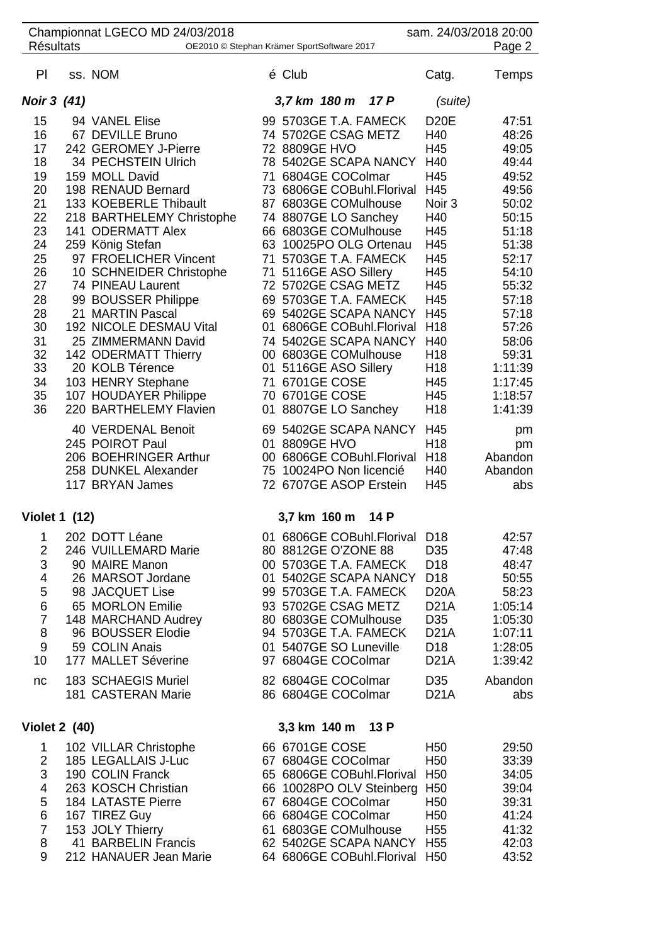| <b>Résultats</b>                                                                                                                 |  | Championnat LGECO MD 24/03/2018                                                                                                                                                                                                                                                                                                                                                                                                                                                                                    | OE2010 © Stephan Krämer SportSoftware 2017                                                                                                                                                                                                                                                                                                                                                                                                                                                                                                | sam. 24/03/2018 20:00                                                                                                                                                                                             | Page 2                                                                                                                                                                                                     |
|----------------------------------------------------------------------------------------------------------------------------------|--|--------------------------------------------------------------------------------------------------------------------------------------------------------------------------------------------------------------------------------------------------------------------------------------------------------------------------------------------------------------------------------------------------------------------------------------------------------------------------------------------------------------------|-------------------------------------------------------------------------------------------------------------------------------------------------------------------------------------------------------------------------------------------------------------------------------------------------------------------------------------------------------------------------------------------------------------------------------------------------------------------------------------------------------------------------------------------|-------------------------------------------------------------------------------------------------------------------------------------------------------------------------------------------------------------------|------------------------------------------------------------------------------------------------------------------------------------------------------------------------------------------------------------|
| PI                                                                                                                               |  | ss. NOM                                                                                                                                                                                                                                                                                                                                                                                                                                                                                                            | é Club                                                                                                                                                                                                                                                                                                                                                                                                                                                                                                                                    | Catg.                                                                                                                                                                                                             | Temps                                                                                                                                                                                                      |
| <b>Noir 3 (41)</b>                                                                                                               |  |                                                                                                                                                                                                                                                                                                                                                                                                                                                                                                                    | 3,7 km 180 m 17 P                                                                                                                                                                                                                                                                                                                                                                                                                                                                                                                         | (suite)                                                                                                                                                                                                           |                                                                                                                                                                                                            |
| 15<br>16<br>17<br>18<br>19<br>20<br>21<br>22<br>23<br>24<br>25<br>26<br>27<br>28<br>28<br>30<br>31<br>32<br>33<br>34<br>35<br>36 |  | 94 VANEL Elise<br>67 DEVILLE Bruno<br>242 GEROMEY J-Pierre<br>34 PECHSTEIN Ulrich<br>159 MOLL David<br>198 RENAUD Bernard<br>133 KOEBERLE Thibault<br>218 BARTHELEMY Christophe<br>141 ODERMATT Alex<br>259 König Stefan<br>97 FROELICHER Vincent<br>10 SCHNEIDER Christophe<br>74 PINEAU Laurent<br>99 BOUSSER Philippe<br>21 MARTIN Pascal<br>192 NICOLE DESMAU Vital<br>25 ZIMMERMANN David<br>142 ODERMATT Thierry<br>20 KOLB Térence<br>103 HENRY Stephane<br>107 HOUDAYER Philippe<br>220 BARTHELEMY Flavien | 99 5703GE T.A. FAMECK<br>74 5702GE CSAG METZ<br>72 8809GE HVO<br>78 5402GE SCAPA NANCY<br>71 6804GE COColmar<br>73 6806GE COBuhl.Florival<br>87 6803GE COMulhouse<br>74 8807GE LO Sanchey<br>66 6803GE COMulhouse<br>63 10025PO OLG Ortenau<br>71 5703GE T.A. FAMECK<br>71 5116GE ASO Sillery<br>72 5702GE CSAG METZ<br>69 5703GE T.A. FAMECK<br>69 5402GE SCAPA NANCY<br>01 6806GE COBuhl.Florival<br>74 5402GE SCAPA NANCY<br>00 6803GE COMulhouse<br>01 5116GE ASO Sillery<br>71 6701GE COSE<br>70 6701GE COSE<br>01 8807GE LO Sanchey | <b>D20E</b><br>H40<br>H45<br>H40<br>H45<br>H45<br>Noir 3<br>H40<br>H45<br>H45<br>H45<br>H45<br>H45<br>H45<br>H45<br>H <sub>18</sub><br>H40<br>H <sub>18</sub><br>H <sub>18</sub><br>H45<br>H45<br>H <sub>18</sub> | 47:51<br>48:26<br>49:05<br>49:44<br>49:52<br>49:56<br>50:02<br>50:15<br>51:18<br>51:38<br>52:17<br>54:10<br>55:32<br>57:18<br>57:18<br>57:26<br>58:06<br>59:31<br>1:11:39<br>1:17:45<br>1:18:57<br>1:41:39 |
|                                                                                                                                  |  | 40 VERDENAL Benoit<br>245 POIROT Paul<br>206 BOEHRINGER Arthur<br>258 DUNKEL Alexander<br>117 BRYAN James                                                                                                                                                                                                                                                                                                                                                                                                          | 69 5402GE SCAPA NANCY<br>01 8809GE HVO<br>00 6806GE COBuhl.Florival<br>75 10024PO Non licencié<br>72 6707GE ASOP Erstein                                                                                                                                                                                                                                                                                                                                                                                                                  | H45<br>H <sub>18</sub><br>H <sub>18</sub><br>H40<br>H45                                                                                                                                                           | pm<br>pm<br>Abandon<br>Abandon<br>abs                                                                                                                                                                      |
| <b>Violet 1 (12)</b>                                                                                                             |  |                                                                                                                                                                                                                                                                                                                                                                                                                                                                                                                    | 3,7 km 160 m<br>14 P                                                                                                                                                                                                                                                                                                                                                                                                                                                                                                                      |                                                                                                                                                                                                                   |                                                                                                                                                                                                            |
| 1<br>2<br>3<br>4<br>5<br>6<br>$\overline{7}$<br>8<br>$\boldsymbol{9}$<br>10                                                      |  | 202 DOTT Léane<br>246 VUILLEMARD Marie<br>90 MAIRE Manon<br>26 MARSOT Jordane<br>98 JACQUET Lise<br>65 MORLON Emilie<br>148 MARCHAND Audrey<br>96 BOUSSER Elodie<br>59 COLIN Anais<br>177 MALLET Séverine<br>183 SCHAEGIS Muriel                                                                                                                                                                                                                                                                                   | 01 6806GE COBuhl.Florival<br>80 8812GE O'ZONE 88<br>00 5703GE T.A. FAMECK<br>01 5402GE SCAPA NANCY<br>99 5703GE T.A. FAMECK<br>93 5702GE CSAG METZ<br>80 6803GE COMulhouse<br>94 5703GE T.A. FAMECK<br>01 5407GE SO Luneville<br>97 6804GE COColmar<br>82 6804GE COColmar                                                                                                                                                                                                                                                                 | D <sub>18</sub><br>D35<br>D <sub>18</sub><br>D <sub>18</sub><br>D <sub>20</sub> A<br><b>D21A</b><br>D <sub>35</sub><br><b>D21A</b><br>D <sub>18</sub><br><b>D21A</b><br>D35                                       | 42:57<br>47:48<br>48:47<br>50:55<br>58:23<br>1:05:14<br>1:05:30<br>1:07:11<br>1:28:05<br>1:39:42<br>Abandon                                                                                                |
| nc                                                                                                                               |  | 181 CASTERAN Marie                                                                                                                                                                                                                                                                                                                                                                                                                                                                                                 | 86 6804GE COColmar                                                                                                                                                                                                                                                                                                                                                                                                                                                                                                                        | <b>D21A</b>                                                                                                                                                                                                       | abs                                                                                                                                                                                                        |
| <b>Violet 2 (40)</b>                                                                                                             |  |                                                                                                                                                                                                                                                                                                                                                                                                                                                                                                                    | 3,3 km 140 m 13 P                                                                                                                                                                                                                                                                                                                                                                                                                                                                                                                         |                                                                                                                                                                                                                   |                                                                                                                                                                                                            |
| 1<br>$\overline{2}$<br>3<br>4<br>5<br>6<br>$\overline{7}$<br>8<br>9                                                              |  | 102 VILLAR Christophe<br>185 LEGALLAIS J-Luc<br>190 COLIN Franck<br>263 KOSCH Christian<br><b>184 LATASTE Pierre</b><br>167 TIREZ Guy<br>153 JOLY Thierry<br>41 BARBELIN Francis<br>212 HANAUER Jean Marie                                                                                                                                                                                                                                                                                                         | 66 6701GE COSE<br>67 6804GE COColmar<br>65 6806GE COBuhl.Florival<br>66 10028PO OLV Steinberg<br>67 6804GE COColmar<br>66 6804GE COColmar<br>61 6803GE COMulhouse<br>62 5402GE SCAPA NANCY H55<br>64 6806GE COBuhl. Florival H50                                                                                                                                                                                                                                                                                                          | H <sub>50</sub><br>H <sub>50</sub><br>H <sub>50</sub><br>H <sub>50</sub><br>H <sub>50</sub><br>H <sub>50</sub><br>H <sub>55</sub>                                                                                 | 29:50<br>33:39<br>34:05<br>39:04<br>39:31<br>41:24<br>41:32<br>42:03<br>43:52                                                                                                                              |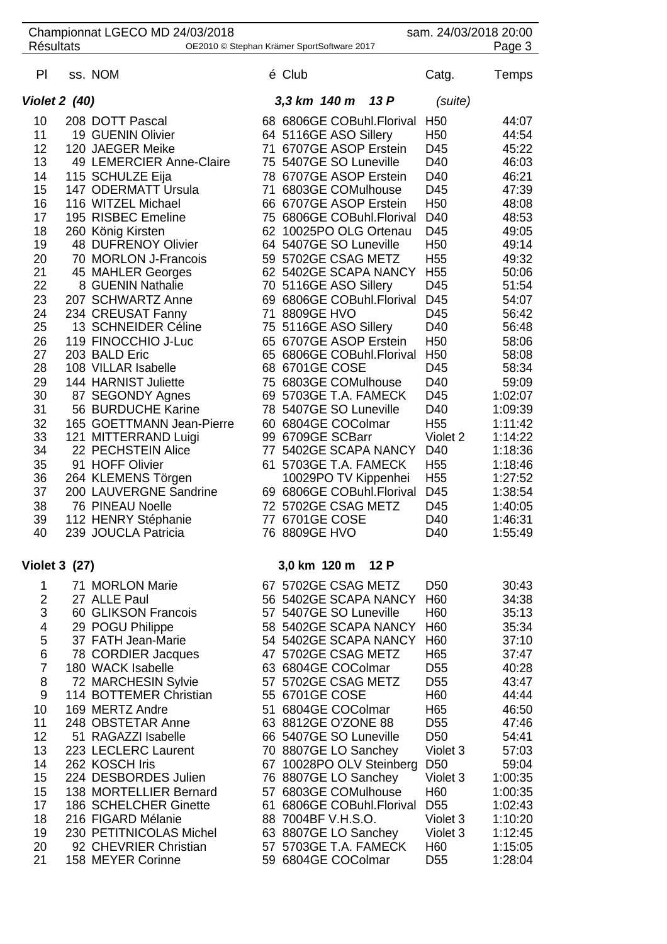| <b>Résultats</b>                                                                                                                                                                 | Championnat LGECO MD 24/03/2018                                                                                                                                                                                                                                                                                                                                                                                                                                                                                                                                                                                                                                                             |    | OE2010 © Stephan Krämer SportSoftware 2017                                                                                                                                                                                                                                                                                                                                                                                                                                                                                                                                                                                                                                                                                                                     | sam. 24/03/2018 20:00                                                                                                                                                                                                                                                                                                                                   | Page 3                                                                                                                                                                                                                                                                                         |
|----------------------------------------------------------------------------------------------------------------------------------------------------------------------------------|---------------------------------------------------------------------------------------------------------------------------------------------------------------------------------------------------------------------------------------------------------------------------------------------------------------------------------------------------------------------------------------------------------------------------------------------------------------------------------------------------------------------------------------------------------------------------------------------------------------------------------------------------------------------------------------------|----|----------------------------------------------------------------------------------------------------------------------------------------------------------------------------------------------------------------------------------------------------------------------------------------------------------------------------------------------------------------------------------------------------------------------------------------------------------------------------------------------------------------------------------------------------------------------------------------------------------------------------------------------------------------------------------------------------------------------------------------------------------------|---------------------------------------------------------------------------------------------------------------------------------------------------------------------------------------------------------------------------------------------------------------------------------------------------------------------------------------------------------|------------------------------------------------------------------------------------------------------------------------------------------------------------------------------------------------------------------------------------------------------------------------------------------------|
| PI                                                                                                                                                                               | ss. NOM                                                                                                                                                                                                                                                                                                                                                                                                                                                                                                                                                                                                                                                                                     |    | é Club                                                                                                                                                                                                                                                                                                                                                                                                                                                                                                                                                                                                                                                                                                                                                         | Catg.                                                                                                                                                                                                                                                                                                                                                   | Temps                                                                                                                                                                                                                                                                                          |
| <b>Violet 2 (40)</b>                                                                                                                                                             |                                                                                                                                                                                                                                                                                                                                                                                                                                                                                                                                                                                                                                                                                             |    | 13P<br>3,3 km 140 m                                                                                                                                                                                                                                                                                                                                                                                                                                                                                                                                                                                                                                                                                                                                            | (suite)                                                                                                                                                                                                                                                                                                                                                 |                                                                                                                                                                                                                                                                                                |
| 10<br>11<br>12<br>13<br>14<br>15<br>16<br>17<br>18<br>19<br>20<br>21<br>22<br>23<br>24<br>25<br>26<br>27<br>28<br>29<br>30<br>31<br>32<br>33<br>34<br>35<br>36<br>37<br>38<br>39 | 208 DOTT Pascal<br>19 GUENIN Olivier<br>120 JAEGER Meike<br>49 LEMERCIER Anne-Claire<br>115 SCHULZE Eija<br>147 ODERMATT Ursula<br>116 WITZEL Michael<br>195 RISBEC Emeline<br>260 König Kirsten<br>48 DUFRENOY Olivier<br>70 MORLON J-Francois<br>45 MAHLER Georges<br>8 GUENIN Nathalie<br>207 SCHWARTZ Anne<br>234 CREUSAT Fanny<br>13 SCHNEIDER Céline<br>119 FINOCCHIO J-Luc<br>203 BALD Eric<br>108 VILLAR Isabelle<br>144 HARNIST Juliette<br>87 SEGONDY Agnes<br>56 BURDUCHE Karine<br>165 GOETTMANN Jean-Pierre<br>121 MITTERRAND Luigi<br>22 PECHSTEIN Alice<br>91 HOFF Olivier<br>264 KLEMENS Törgen<br>200 LAUVERGNE Sandrine<br><b>76 PINEAU Noelle</b><br>112 HENRY Stéphanie | 71 | 68 6806GE COBuhl.Florival<br>64 5116GE ASO Sillery<br>71 6707GE ASOP Erstein<br>75 5407GE SO Luneville<br>78 6707GE ASOP Erstein<br>6803GE COMulhouse<br>66 6707GE ASOP Erstein<br>75 6806GE COBuhl.Florival<br>62 10025PO OLG Ortenau<br>64 5407GE SO Luneville<br>59 5702GE CSAG METZ<br>62 5402GE SCAPA NANCY<br>70 5116GE ASO Sillery<br>69 6806GE COBuhl.Florival<br>71 8809GE HVO<br>75 5116GE ASO Sillery<br>65 6707GE ASOP Erstein<br>65 6806GE COBuhl.Florival<br>68 6701GE COSE<br>75 6803GE COMulhouse<br>69 5703GE T.A. FAMECK<br>78 5407GE SO Luneville<br>60 6804GE COColmar<br>99 6709GE SCBarr<br>77 5402GE SCAPA NANCY<br>61 5703GE T.A. FAMECK<br>10029PO TV Kippenhei<br>69 6806GE COBuhl.Florival<br>72 5702GE CSAG METZ<br>77 6701GE COSE | H <sub>50</sub><br>H <sub>50</sub><br>D45<br>D40<br>D40<br>D45<br>H <sub>50</sub><br>D40<br>D45<br>H <sub>50</sub><br>H <sub>55</sub><br>H <sub>55</sub><br>D45<br>D45<br>D45<br>D40<br>H <sub>50</sub><br>H <sub>50</sub><br>D45<br>D40<br>D45<br>D40<br>H <sub>55</sub><br>Violet 2<br>D40<br>H <sub>55</sub><br>H <sub>55</sub><br>D45<br>D45<br>D40 | 44:07<br>44:54<br>45:22<br>46:03<br>46:21<br>47:39<br>48:08<br>48:53<br>49:05<br>49:14<br>49:32<br>50:06<br>51:54<br>54:07<br>56:42<br>56:48<br>58:06<br>58:08<br>58:34<br>59:09<br>1:02:07<br>1:09:39<br>1:11:42<br>1:14:22<br>1:18:36<br>1:18:46<br>1:27:52<br>1:38:54<br>1:40:05<br>1:46:31 |
| 40<br><b>Violet 3 (27)</b>                                                                                                                                                       | 239 JOUCLA Patricia                                                                                                                                                                                                                                                                                                                                                                                                                                                                                                                                                                                                                                                                         |    | 76 8809GE HVO<br>3,0 km 120 m<br>12 P                                                                                                                                                                                                                                                                                                                                                                                                                                                                                                                                                                                                                                                                                                                          | D40                                                                                                                                                                                                                                                                                                                                                     | 1:55:49                                                                                                                                                                                                                                                                                        |
| 1<br>2<br>3<br>4<br>5<br>6<br>$\overline{7}$<br>8<br>9<br>10<br>11<br>12<br>13<br>14<br>15<br>15<br>17<br>18<br>19<br>20<br>21                                                   | 71 MORLON Marie<br>27 ALLE Paul<br>60 GLIKSON Francois<br>29 POGU Philippe<br>37 FATH Jean-Marie<br>78 CORDIER Jacques<br>180 WACK Isabelle<br>72 MARCHESIN Sylvie<br>114 BOTTEMER Christian<br>169 MERTZ Andre<br>248 OBSTETAR Anne<br>51 RAGAZZI Isabelle<br>223 LECLERC Laurent<br>262 KOSCH Iris<br>224 DESBORDES Julien<br>138 MORTELLIER Bernard<br>186 SCHELCHER Ginette<br>216 FIGARD Mélanie<br>230 PETITNICOLAS Michel<br>92 CHEVRIER Christian<br>158 MEYER Corinne                                                                                                                                                                                                              |    | 67 5702GE CSAG METZ<br>56 5402GE SCAPA NANCY<br>57 5407GE SO Luneville<br>58 5402GE SCAPA NANCY<br>54 5402GE SCAPA NANCY<br>47 5702GE CSAG METZ<br>63 6804GE COColmar<br>57 5702GE CSAG METZ<br>55 6701GE COSE<br>51 6804GE COColmar<br>63 8812GE O'ZONE 88<br>66 5407GE SO Luneville<br>70 8807GE LO Sanchey<br>67 10028PO OLV Steinberg<br>76 8807GE LO Sanchey<br>57 6803GE COMulhouse<br>61 6806GE COBuhl.Florival<br>88 7004BF V.H.S.O.<br>63 8807GE LO Sanchey<br>57 5703GE T.A. FAMECK<br>59 6804GE COColmar                                                                                                                                                                                                                                            | D <sub>50</sub><br>H60<br>H60<br>H <sub>60</sub><br>H <sub>60</sub><br>H65<br>D <sub>55</sub><br>D <sub>55</sub><br>H60<br>H65<br>D <sub>55</sub><br>D <sub>50</sub><br>Violet 3<br>D <sub>50</sub><br>Violet 3<br>H60<br>D <sub>55</sub><br>Violet 3<br>Violet 3<br>H60<br>D <sub>55</sub>                                                             | 30:43<br>34:38<br>35:13<br>35:34<br>37:10<br>37:47<br>40:28<br>43:47<br>44:44<br>46:50<br>47:46<br>54:41<br>57:03<br>59:04<br>1:00:35<br>1:00:35<br>1:02:43<br>1:10:20<br>1:12:45<br>1:15:05<br>1:28:04                                                                                        |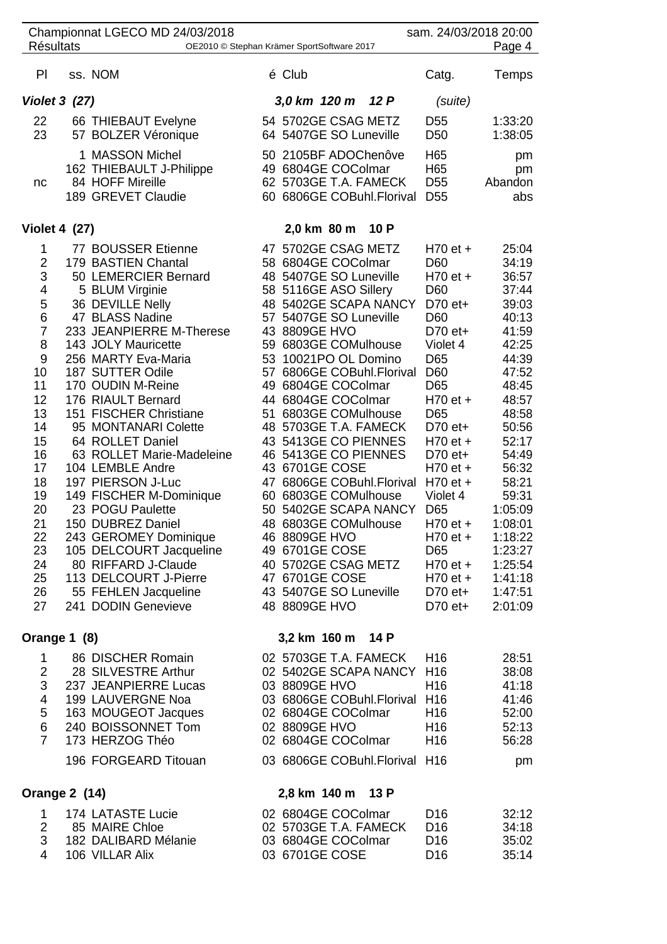| <b>Résultats</b>                                                                                                                                                                                                                    | Championnat LGECO MD 24/03/2018                                                                                                                                                                                                                                                                                                                                                                                                                                                                                                                                                                                                         | OE2010 © Stephan Krämer SportSoftware 2017                                                                                                                                                                                                                                                                                                                                                                                                                                                                                                                                                                                                | sam. 24/03/2018 20:00                                                                                                                                                                                                                                                                                             | Page 4                                                                                                                                                                                                                                                          |
|-------------------------------------------------------------------------------------------------------------------------------------------------------------------------------------------------------------------------------------|-----------------------------------------------------------------------------------------------------------------------------------------------------------------------------------------------------------------------------------------------------------------------------------------------------------------------------------------------------------------------------------------------------------------------------------------------------------------------------------------------------------------------------------------------------------------------------------------------------------------------------------------|-------------------------------------------------------------------------------------------------------------------------------------------------------------------------------------------------------------------------------------------------------------------------------------------------------------------------------------------------------------------------------------------------------------------------------------------------------------------------------------------------------------------------------------------------------------------------------------------------------------------------------------------|-------------------------------------------------------------------------------------------------------------------------------------------------------------------------------------------------------------------------------------------------------------------------------------------------------------------|-----------------------------------------------------------------------------------------------------------------------------------------------------------------------------------------------------------------------------------------------------------------|
|                                                                                                                                                                                                                                     |                                                                                                                                                                                                                                                                                                                                                                                                                                                                                                                                                                                                                                         |                                                                                                                                                                                                                                                                                                                                                                                                                                                                                                                                                                                                                                           |                                                                                                                                                                                                                                                                                                                   |                                                                                                                                                                                                                                                                 |
| PI                                                                                                                                                                                                                                  | ss. NOM                                                                                                                                                                                                                                                                                                                                                                                                                                                                                                                                                                                                                                 | é Club                                                                                                                                                                                                                                                                                                                                                                                                                                                                                                                                                                                                                                    | Catg.                                                                                                                                                                                                                                                                                                             | Temps                                                                                                                                                                                                                                                           |
| <b>Violet 3 (27)</b>                                                                                                                                                                                                                |                                                                                                                                                                                                                                                                                                                                                                                                                                                                                                                                                                                                                                         | 3,0 km 120 m 12 P                                                                                                                                                                                                                                                                                                                                                                                                                                                                                                                                                                                                                         | (suite)                                                                                                                                                                                                                                                                                                           |                                                                                                                                                                                                                                                                 |
| 22<br>23                                                                                                                                                                                                                            | 66 THIEBAUT Evelyne<br>57 BOLZER Véronique                                                                                                                                                                                                                                                                                                                                                                                                                                                                                                                                                                                              | 54 5702GE CSAG METZ<br>64 5407GE SO Luneville                                                                                                                                                                                                                                                                                                                                                                                                                                                                                                                                                                                             | D <sub>55</sub><br>D <sub>50</sub>                                                                                                                                                                                                                                                                                | 1:33:20<br>1:38:05                                                                                                                                                                                                                                              |
| nc                                                                                                                                                                                                                                  | 1 MASSON Michel<br>162 THIEBAULT J-Philippe<br>84 HOFF Mireille<br>189 GREVET Claudie                                                                                                                                                                                                                                                                                                                                                                                                                                                                                                                                                   | 50 2105BF ADOChenôve<br>49 6804GE COColmar<br>62 5703GE T.A. FAMECK<br>60 6806GE COBuhl.Florival                                                                                                                                                                                                                                                                                                                                                                                                                                                                                                                                          | H65<br>H65<br>D <sub>55</sub><br>D <sub>55</sub>                                                                                                                                                                                                                                                                  | pm<br>pm<br>Abandon<br>abs                                                                                                                                                                                                                                      |
| <b>Violet 4 (27)</b>                                                                                                                                                                                                                |                                                                                                                                                                                                                                                                                                                                                                                                                                                                                                                                                                                                                                         | 2,0 km 80 m 10 P                                                                                                                                                                                                                                                                                                                                                                                                                                                                                                                                                                                                                          |                                                                                                                                                                                                                                                                                                                   |                                                                                                                                                                                                                                                                 |
| $\mathbf{1}$<br>$\overline{2}$<br>3<br>$\overline{\mathbf{4}}$<br>5<br>$\,6$<br>$\overline{7}$<br>8<br>$\boldsymbol{9}$<br>10<br>11<br>12<br>13<br>14<br>15<br>16<br>17<br>18<br>19<br>20<br>21<br>22<br>23<br>24<br>25<br>26<br>27 | 77 BOUSSER Etienne<br>179 BASTIEN Chantal<br>50 LEMERCIER Bernard<br>5 BLUM Virginie<br>36 DEVILLE Nelly<br>47 BLASS Nadine<br>233 JEANPIERRE M-Therese<br>143 JOLY Mauricette<br>256 MARTY Eva-Maria<br>187 SUTTER Odile<br>170 OUDIN M-Reine<br>176 RIAULT Bernard<br>151 FISCHER Christiane<br>95 MONTANARI Colette<br>64 ROLLET Daniel<br>63 ROLLET Marie-Madeleine<br>104 LEMBLE Andre<br>197 PIERSON J-Luc<br>149 FISCHER M-Dominique<br>23 POGU Paulette<br>150 DUBREZ Daniel<br>243 GEROMEY Dominique<br>105 DELCOURT Jacqueline<br>80 RIFFARD J-Claude<br>113 DELCOURT J-Pierre<br>55 FEHLEN Jacqueline<br>241 DODIN Genevieve | 47 5702GE CSAG METZ<br>58 6804GE COColmar<br>48 5407GE SO Luneville<br>58 5116GE ASO Sillery<br>48 5402GE SCAPA NANCY<br>57 5407GE SO Luneville<br>43 8809GE HVO<br>59 6803GE COMulhouse<br>53 10021PO OL Domino<br>57 6806GE COBuhl.Florival<br>49 6804GE COColmar<br>44 6804GE COColmar<br>51 6803GE COMulhouse<br>48 5703GE T.A. FAMECK<br>43 5413GE CO PIENNES<br>46 5413GE CO PIENNES<br>43 6701GE COSE<br>47 6806GE COBuhl.Florival<br>60 6803GE COMulhouse<br>50 5402GE SCAPA NANCY<br>48 6803GE COMulhouse<br>46 8809GE HVO<br>49 6701GE COSE<br>40 5702GE CSAG METZ<br>47 6701GE COSE<br>43 5407GE SO Luneville<br>48 8809GE HVO | $H70$ et +<br>D60<br>$H70$ et +<br>D <sub>60</sub><br>$D70$ et+<br>D60<br>$D70$ et+<br>Violet 4<br>D65<br>D60<br>D65<br>$H70$ et +<br>D65<br>D70 et+<br>H70 et +<br>D70 et+<br>$H70$ et +<br>$H70$ et +<br>Violet 4<br>D65<br>$H70$ et +<br>$H70$ et +<br>D65<br>$H70$ et +<br>$H70$ et +<br>$D70$ et+<br>D70 et+ | 25:04<br>34:19<br>36:57<br>37:44<br>39:03<br>40:13<br>41:59<br>42:25<br>44:39<br>47:52<br>48:45<br>48:57<br>48:58<br>50:56<br>52:17<br>54:49<br>56:32<br>58:21<br>59:31<br>1:05:09<br>1:08:01<br>1:18:22<br>1:23:27<br>1:25:54<br>1:41:18<br>1:47:51<br>2:01:09 |
| Orange 1 (8)                                                                                                                                                                                                                        |                                                                                                                                                                                                                                                                                                                                                                                                                                                                                                                                                                                                                                         | 3,2 km 160 m 14 P                                                                                                                                                                                                                                                                                                                                                                                                                                                                                                                                                                                                                         |                                                                                                                                                                                                                                                                                                                   |                                                                                                                                                                                                                                                                 |
| $\mathbf 1$<br>$\overline{2}$<br>3<br>4<br>5<br>$\,6$<br>$\overline{7}$                                                                                                                                                             | 86 DISCHER Romain<br>28 SILVESTRE Arthur<br>237 JEANPIERRE Lucas<br>199 LAUVERGNE Noa<br>163 MOUGEOT Jacques<br>240 BOISSONNET Tom<br>173 HERZOG Théo<br>196 FORGEARD Titouan                                                                                                                                                                                                                                                                                                                                                                                                                                                           | 02 5703GE T.A. FAMECK<br>02 5402GE SCAPA NANCY H16<br>03 8809GE HVO<br>03 6806GE COBuhl.Florival H16<br>02 6804GE COColmar<br>02 8809GE HVO<br>02 6804GE COColmar<br>03 6806GE COBuhl.Florival H16                                                                                                                                                                                                                                                                                                                                                                                                                                        | H <sub>16</sub><br>H <sub>16</sub><br>H <sub>16</sub><br>H <sub>16</sub><br>H <sub>16</sub>                                                                                                                                                                                                                       | 28:51<br>38:08<br>41:18<br>41:46<br>52:00<br>52:13<br>56:28<br>pm                                                                                                                                                                                               |
| <b>Orange 2 (14)</b>                                                                                                                                                                                                                |                                                                                                                                                                                                                                                                                                                                                                                                                                                                                                                                                                                                                                         | 2,8 km 140 m 13 P                                                                                                                                                                                                                                                                                                                                                                                                                                                                                                                                                                                                                         |                                                                                                                                                                                                                                                                                                                   |                                                                                                                                                                                                                                                                 |
| 1<br>2<br>3<br>$\overline{4}$                                                                                                                                                                                                       | 174 LATASTE Lucie<br>85 MAIRE Chloe<br>182 DALIBARD Mélanie<br>106 VILLAR Alix                                                                                                                                                                                                                                                                                                                                                                                                                                                                                                                                                          | 02 6804GE COColmar<br>02 5703GE T.A. FAMECK<br>03 6804GE COColmar<br>03 6701GE COSE                                                                                                                                                                                                                                                                                                                                                                                                                                                                                                                                                       | D <sub>16</sub><br>D <sub>16</sub><br>D <sub>16</sub><br>D <sub>16</sub>                                                                                                                                                                                                                                          | 32:12<br>34:18<br>35:02<br>35:14                                                                                                                                                                                                                                |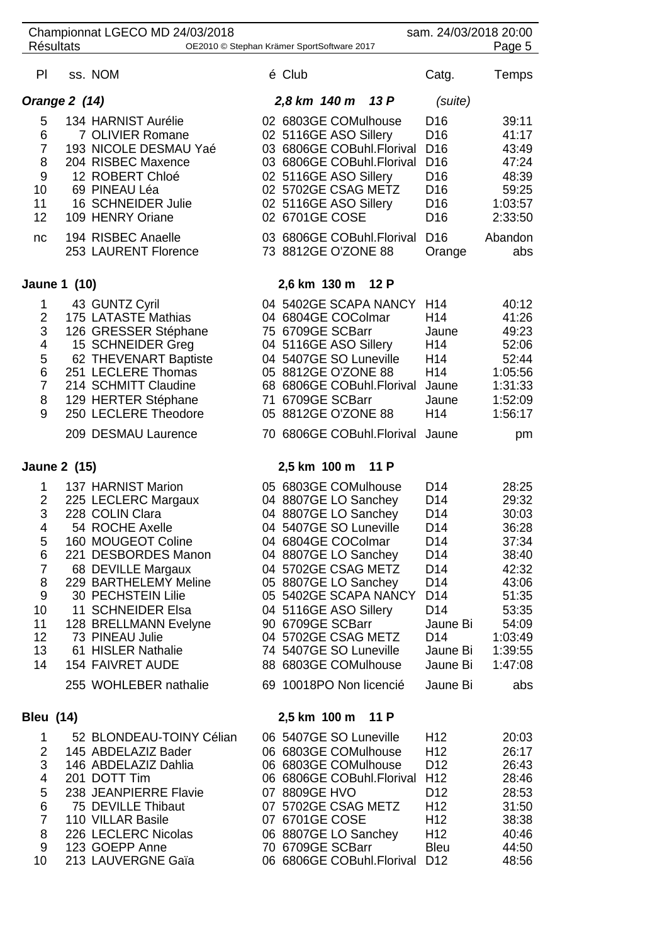|                                                                         | <b>Résultats</b>    | Championnat LGECO MD 24/03/2018<br>OE2010 © Stephan Krämer SportSoftware 2017                                                                                                                                                                                                                                       |               |                                                                                                                                                                   |                                                                                                                                                                       | sam. 24/03/2018 20:00                                                                                                                                                                                                     | Page 5                                                                                                                           |
|-------------------------------------------------------------------------|---------------------|---------------------------------------------------------------------------------------------------------------------------------------------------------------------------------------------------------------------------------------------------------------------------------------------------------------------|---------------|-------------------------------------------------------------------------------------------------------------------------------------------------------------------|-----------------------------------------------------------------------------------------------------------------------------------------------------------------------|---------------------------------------------------------------------------------------------------------------------------------------------------------------------------------------------------------------------------|----------------------------------------------------------------------------------------------------------------------------------|
| PI                                                                      |                     | ss. NOM                                                                                                                                                                                                                                                                                                             | é Club        |                                                                                                                                                                   |                                                                                                                                                                       | Catg.                                                                                                                                                                                                                     | <b>Temps</b>                                                                                                                     |
|                                                                         | Orange 2 (14)       |                                                                                                                                                                                                                                                                                                                     |               | 2,8 km 140 m 13 P                                                                                                                                                 |                                                                                                                                                                       | (suite)                                                                                                                                                                                                                   |                                                                                                                                  |
| 5<br>6<br>$\overline{7}$<br>8<br>9<br>10<br>11<br>12<br>nc              |                     | 134 HARNIST Aurélie<br>7 OLIVIER Romane<br>193 NICOLE DESMAU Yaé<br>204 RISBEC Maxence<br>12 ROBERT Chloé<br>69 PINEAU Léa<br>16 SCHNEIDER Julie<br>109 HENRY Oriane<br>194 RISBEC Anaelle<br>253 LAURENT Florence                                                                                                  |               | 02 5116GE ASO Sillery<br>02 5116GE ASO Sillery<br>02 5116GE ASO Sillery<br>02 6701GE COSE<br>73 8812GE O'ZONE 88                                                  | 02 6803GE COMulhouse<br>03 6806GE COBuhl.Florival<br>03 6806GE COBuhl.Florival<br>02 5702GE CSAG METZ<br>03 6806GE COBuhl.Florival D16                                | D <sub>16</sub><br>D <sub>16</sub><br>D <sub>16</sub><br>D <sub>16</sub><br>D <sub>16</sub><br>D <sub>16</sub><br>D <sub>16</sub><br>D <sub>16</sub><br>Orange                                                            | 39:11<br>41:17<br>43:49<br>47:24<br>48:39<br>59:25<br>1:03:57<br>2:33:50<br>Abandon<br>abs                                       |
|                                                                         |                     |                                                                                                                                                                                                                                                                                                                     |               |                                                                                                                                                                   |                                                                                                                                                                       |                                                                                                                                                                                                                           |                                                                                                                                  |
|                                                                         | Jaune 1 (10)        |                                                                                                                                                                                                                                                                                                                     |               | 2,6 km 130 m 12 P                                                                                                                                                 |                                                                                                                                                                       |                                                                                                                                                                                                                           |                                                                                                                                  |
| 1<br>2<br>3<br>4<br>5<br>6<br>$\overline{7}$<br>8<br>9                  |                     | 43 GUNTZ Cyril<br>175 LATASTE Mathias<br>126 GRESSER Stéphane<br>15 SCHNEIDER Greg<br>62 THEVENART Baptiste<br>251 LECLERE Thomas<br>214 SCHMITT Claudine<br>129 HERTER Stéphane<br>250 LECLERE Theodore                                                                                                            |               | 04 6804GE COColmar<br>75 6709GE SCBarr<br>04 5407GE SO Luneville<br>05 8812GE O'ZONE 88<br>71 6709GE SCBarr<br>05 8812GE O'ZONE 88                                | 04 5402GE SCAPA NANCY<br>04 5116GE ASO Sillery<br>68 6806GE COBuhl.Florival                                                                                           | H <sub>14</sub><br>H <sub>14</sub><br>Jaune<br>H <sub>14</sub><br>H <sub>14</sub><br>H <sub>14</sub><br>Jaune<br>Jaune<br>H <sub>14</sub>                                                                                 | 40:12<br>41:26<br>49:23<br>52:06<br>52:44<br>1:05:56<br>1:31:33<br>1:52:09<br>1:56:17                                            |
|                                                                         |                     | 209 DESMAU Laurence                                                                                                                                                                                                                                                                                                 |               |                                                                                                                                                                   | 70 6806GE COBuhl.Florival Jaune                                                                                                                                       |                                                                                                                                                                                                                           | pm                                                                                                                               |
|                                                                         | <b>Jaune 2 (15)</b> |                                                                                                                                                                                                                                                                                                                     |               | 2,5 km 100 m                                                                                                                                                      | 11 P                                                                                                                                                                  |                                                                                                                                                                                                                           |                                                                                                                                  |
| 1<br>2<br>3<br>4<br>5<br>6<br>7<br>8<br>9<br>10<br>11<br>12<br>13<br>14 |                     | 137 HARNIST Marion<br>225 LECLERC Margaux<br>228 COLIN Clara<br>54 ROCHE Axelle<br>160 MOUGEOT Coline<br>221 DESBORDES Manon<br>68 DEVILLE Margaux<br>229 BARTHELEMY Meline<br>30 PECHSTEIN Lilie<br>11 SCHNEIDER Elsa<br>128 BRELLMANN Evelyne<br>73 PINEAU Julie<br>61 HISLER Nathalie<br><b>154 FAIVRET AUDE</b> |               | 04 8807GE LO Sanchey<br>04 8807GE LO Sanchey<br>04 5407GE SO Luneville<br>04 6804GE COColmar<br>04 8807GE LO Sanchey<br>04 5116GE ASO Sillery<br>90 6709GE SCBarr | 05 6803GE COMulhouse<br>04 5702GE CSAG METZ<br>05 8807GE LO Sanchey<br>05 5402GE SCAPA NANCY<br>04 5702GE CSAG METZ<br>74 5407GE SO Luneville<br>88 6803GE COMulhouse | D <sub>14</sub><br>D <sub>14</sub><br>D <sub>14</sub><br>D <sub>14</sub><br>D <sub>14</sub><br>D14<br>D14<br>D <sub>14</sub><br>D <sub>14</sub><br>D <sub>14</sub><br>Jaune Bi<br>D <sub>14</sub><br>Jaune Bi<br>Jaune Bi | 28:25<br>29:32<br>30:03<br>36:28<br>37:34<br>38:40<br>42:32<br>43:06<br>51:35<br>53:35<br>54:09<br>1:03:49<br>1:39:55<br>1:47:08 |
|                                                                         |                     | 255 WOHLEBER nathalie                                                                                                                                                                                                                                                                                               |               |                                                                                                                                                                   | 69 10018PO Non licencié                                                                                                                                               | Jaune Bi                                                                                                                                                                                                                  | abs                                                                                                                              |
| <b>Bleu (14)</b>                                                        |                     |                                                                                                                                                                                                                                                                                                                     |               | 2,5 km 100 m 11 P                                                                                                                                                 |                                                                                                                                                                       |                                                                                                                                                                                                                           |                                                                                                                                  |
| 1<br>2<br>3<br>4<br>5<br>6<br>$\overline{7}$<br>8<br>9<br>10            |                     | 52 BLONDEAU-TOINY Célian<br>145 ABDELAZIZ Bader<br>146 ABDELAZIZ Dahlia<br>201 DOTT Tim<br>238 JEANPIERRE Flavie<br>75 DEVILLE Thibaut<br>110 VILLAR Basile<br>226 LECLERC Nicolas<br>123 GOEPP Anne<br>213 LAUVERGNE Gaïa                                                                                          | 07 8809GE HVO | 06 5407GE SO Luneville<br>07 5702GE CSAG METZ<br>07 6701GE COSE<br>70 6709GE SCBarr                                                                               | 06 6803GE COMulhouse<br>06 6803GE COMulhouse<br>06 6806GE COBuhl.Florival H12<br>06 8807GE LO Sanchey<br>06 6806GE COBuhl.Florival D12                                | H <sub>12</sub><br>H <sub>12</sub><br>D <sub>12</sub><br>D <sub>12</sub><br>H <sub>12</sub><br>H <sub>12</sub><br>H <sub>12</sub><br><b>Bleu</b>                                                                          | 20:03<br>26:17<br>26:43<br>28:46<br>28:53<br>31:50<br>38:38<br>40:46<br>44:50<br>48:56                                           |